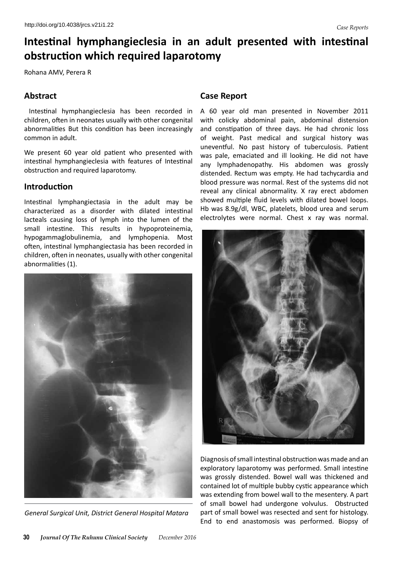# **Intestinal hymphangieclesia in an adult presented with intestinal obstruction which required laparotomy**

Rohana AMV, Perera R

# **Abstract**

Intestinal hymphangieclesia has been recorded in children, often in neonates usually with other congenital abnormalities But this condition has been increasingly common in adult.

We present 60 year old patient who presented with intestinal hymphangieclesia with features of Intestinal obstruction and required laparotomy.

## **Introduction**

Intestinal lymphangiectasia in the adult may be characterized as a disorder with dilated intestinal lacteals causing loss of lymph into the lumen of the small intestine. This results in hypoproteinemia, hypogammaglobulinemia, and lymphopenia. Most often, intestinal lymphangiectasia has been recorded in children, often in neonates, usually with other congenital abnormalities (1).



*General Surgical Unit, District General Hospital Matara*

### **Case Report**

A 60 year old man presented in November 2011 with colicky abdominal pain, abdominal distension and constipation of three days. He had chronic loss of weight. Past medical and surgical history was uneventful. No past history of tuberculosis. Patient was pale, emaciated and ill looking. He did not have any lymphadenopathy. His abdomen was grossly distended. Rectum was empty. He had tachycardia and blood pressure was normal. Rest of the systems did not reveal any clinical abnormality. X ray erect abdomen showed multiple fluid levels with dilated bowel loops. Hb was 8.9g/dl, WBC, platelets, blood urea and serum electrolytes were normal. Chest x ray was normal.



Diagnosis of small intestinal obstruction was made and an exploratory laparotomy was performed. Small intestine was grossly distended. Bowel wall was thickened and contained lot of multiple bubby cystic appearance which was extending from bowel wall to the mesentery. A part of small bowel had undergone volvulus. Obstructed part of small bowel was resected and sent for histology. End to end anastomosis was performed. Biopsy of